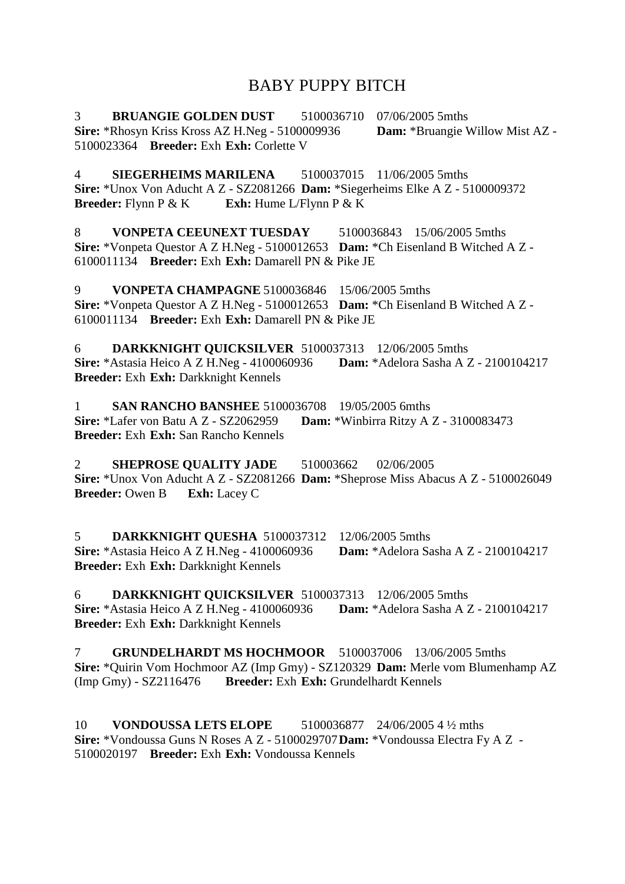# BABY PUPPY BITCH

3 **BRUANGIE GOLDEN DUST** 5100036710 07/06/2005 5mths **Sire:** \*Rhosyn Kriss Kross AZ H.Neg - 5100009936 **Dam:** \*Bruangie Willow Mist AZ - 5100023364 **Breeder:** Exh **Exh:** Corlette V

4 **SIEGERHEIMS MARILENA** 5100037015 11/06/2005 5mths **Sire:** \*Unox Von Aducht A Z - SZ2081266 **Dam:** \*Siegerheims Elke A Z - 5100009372 **Breeder:** Flynn P & K **Exh:** Hume L/Flynn P & K

8 **VONPETA CEEUNEXT TUESDAY** 5100036843 15/06/2005 5mths **Sire:** \*Vonpeta Questor A Z H.Neg - 5100012653 **Dam:** \*Ch Eisenland B Witched A Z - 6100011134 **Breeder:** Exh **Exh:** Damarell PN & Pike JE

9 **VONPETA CHAMPAGNE** 5100036846 15/06/2005 5mths **Sire:** \*Vonpeta Questor A Z H.Neg - 5100012653 **Dam:** \*Ch Eisenland B Witched A Z - 6100011134 **Breeder:** Exh **Exh:** Damarell PN & Pike JE

6 **DARKKNIGHT QUICKSILVER** 5100037313 12/06/2005 5mths **Sire:** \*Astasia Heico A Z H.Neg - 4100060936 **Dam:** \*Adelora Sasha A Z - 2100104217 **Breeder:** Exh **Exh:** Darkknight Kennels

1 **SAN RANCHO BANSHEE** 5100036708 19/05/2005 6mths **Sire:** \*Lafer von Batu A Z - SZ2062959 **Dam:** \*Winbirra Ritzy A Z - 3100083473 **Breeder:** Exh **Exh:** San Rancho Kennels

2 **SHEPROSE QUALITY JADE** 510003662 02/06/2005 **Sire:** \*Unox Von Aducht A Z - SZ2081266 **Dam:** \*Sheprose Miss Abacus A Z - 5100026049 **Breeder:** Owen B **Exh:** Lacey C

5 **DARKKNIGHT QUESHA** 5100037312 12/06/2005 5mths **Sire:** \*Astasia Heico A Z H.Neg - 4100060936 **Dam:** \*Adelora Sasha A Z - 2100104217 **Breeder:** Exh **Exh:** Darkknight Kennels

6 **DARKKNIGHT QUICKSILVER** 5100037313 12/06/2005 5mths **Sire:** \*Astasia Heico A Z H.Neg - 4100060936 **Dam:** \*Adelora Sasha A Z - 2100104217 **Breeder:** Exh **Exh:** Darkknight Kennels

7 **GRUNDELHARDT MS HOCHMOOR** 5100037006 13/06/2005 5mths **Sire:** \*Quirin Vom Hochmoor AZ (Imp Gmy) - SZ120329 **Dam:** Merle vom Blumenhamp AZ (Imp Gmy) - SZ2116476 **Breeder:** Exh **Exh:** Grundelhardt Kennels

10 **VONDOUSSA LETS ELOPE** 5100036877 24/06/2005 4 ½ mths **Sire:** \*Vondoussa Guns N Roses A Z - 5100029707**Dam:** \*Vondoussa Electra Fy A Z - 5100020197 **Breeder:** Exh **Exh:** Vondoussa Kennels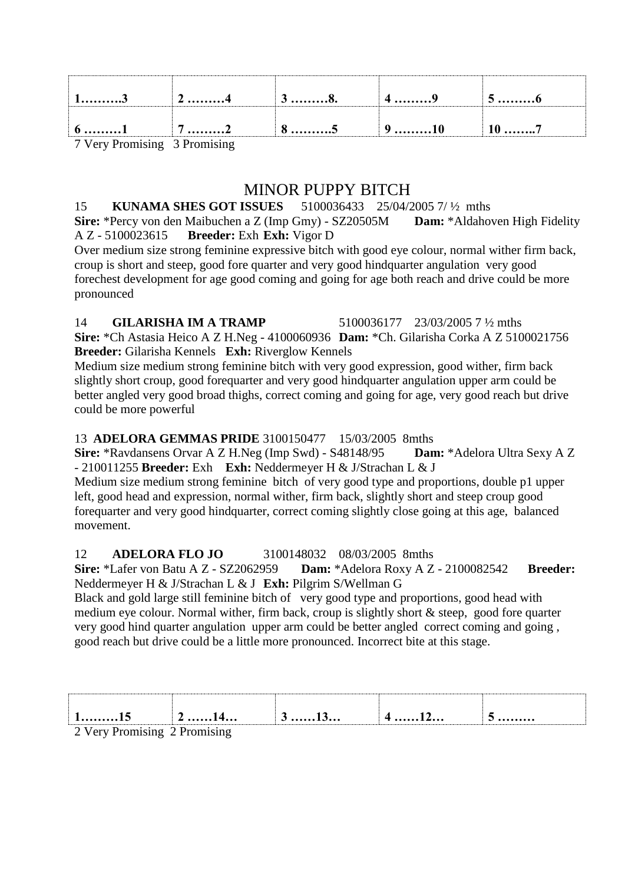| 13                                                                                               | $\frac{1}{2}$ 4 | . 8.<br>J | $4$ 9                    |  |
|--------------------------------------------------------------------------------------------------|-----------------|-----------|--------------------------|--|
| $\begin{array}{ c c c c c } \hline 6 & \ldots & 1 & \quad & 7 & \ldots & 2 \ \hline \end{array}$ |                 | 85        | $\ket{9 \dots \dots 10}$ |  |
| 7 Very Promising 3 Promising                                                                     |                 |           |                          |  |

# MINOR PUPPY BITCH

#### 15 **KUNAMA SHES GOT ISSUES** 5100036433 25/04/2005 7/ ½ mths

**Sire:** \*Percy von den Maibuchen a Z (Imp Gmy) - SZ20505M **Dam:** \*Aldahoven High Fidelity A Z - 5100023615 **Breeder:** Exh **Exh:** Vigor D

Over medium size strong feminine expressive bitch with good eye colour, normal wither firm back, croup is short and steep, good fore quarter and very good hindquarter angulation very good forechest development for age good coming and going for age both reach and drive could be more pronounced

#### 14 **GILARISHA IM A TRAMP** 5100036177 23/03/2005 7 ½ mths

**Sire:** \*Ch Astasia Heico A Z H.Neg - 4100060936 **Dam:** \*Ch. Gilarisha Corka A Z 5100021756 **Breeder:** Gilarisha Kennels **Exh:** Riverglow Kennels

Medium size medium strong feminine bitch with very good expression, good wither, firm back slightly short croup, good forequarter and very good hindquarter angulation upper arm could be better angled very good broad thighs, correct coming and going for age, very good reach but drive could be more powerful

## 13 **ADELORA GEMMAS PRIDE** 3100150477 15/03/2005 8mths

**Sire:** \*Ravdansens Orvar A Z H.Neg (Imp Swd) - S48148/95 **Dam:** \*Adelora Ultra Sexy A Z - 210011255 **Breeder:** Exh **Exh:** Neddermeyer H & J/Strachan L & J

Medium size medium strong feminine bitch of very good type and proportions, double p1 upper left, good head and expression, normal wither, firm back, slightly short and steep croup good forequarter and very good hindquarter, correct coming slightly close going at this age, balanced movement.

## 12 **ADELORA FLO JO** 3100148032 08/03/2005 8mths

**Sire:** \*Lafer von Batu A Z - SZ2062959 **Dam:** \*Adelora Roxy A Z - 2100082542 **Breeder:** Neddermeyer H & J/Strachan L & J **Exh:** Pilgrim S/Wellman G

Black and gold large still feminine bitch of very good type and proportions, good head with medium eye colour. Normal wither, firm back, croup is slightly short & steep, good fore quarter very good hind quarter angulation upper arm could be better angled correct coming and going , good reach but drive could be a little more pronounced. Incorrect bite at this stage.

| ------------           | <del>⁄</del> ⊥⊤ | $\upsilon$ less | $4 \ldots 12 \ldots$ | $\mathbf{v}$ |
|------------------------|-----------------|-----------------|----------------------|--------------|
| V <sub>ory</sub> Denig | $D$ romiging    |                 |                      |              |

2 Very Promising 2 Promising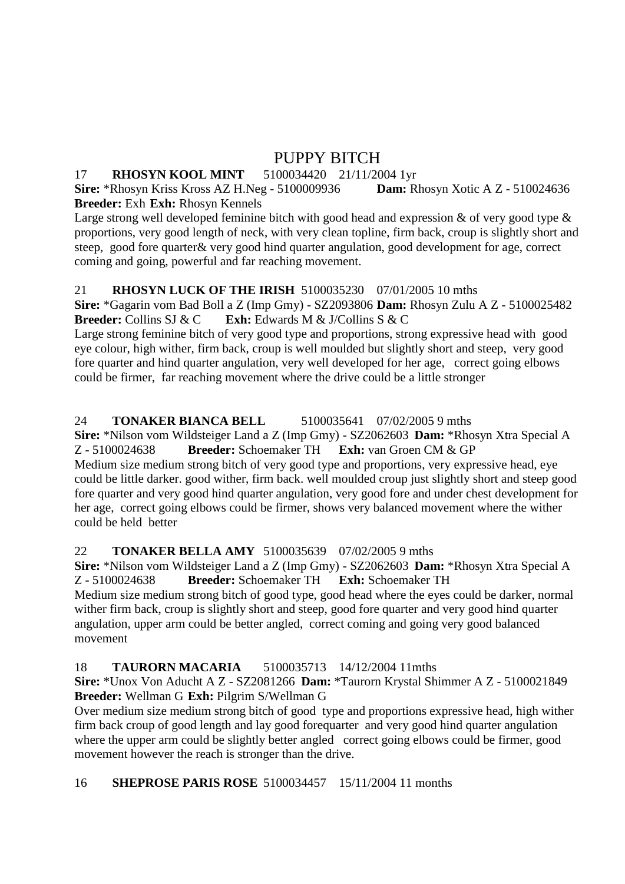# PUPPY BITCH

## 17 **RHOSYN KOOL MINT** 5100034420 21/11/2004 1yr

**Sire:** \*Rhosyn Kriss Kross AZ H.Neg - 5100009936 **Dam:** Rhosyn Xotic A Z - 510024636 **Breeder:** Exh **Exh:** Rhosyn Kennels

Large strong well developed feminine bitch with good head and expression  $\&$  of very good type  $\&$ proportions, very good length of neck, with very clean topline, firm back, croup is slightly short and steep, good fore quarter& very good hind quarter angulation, good development for age, correct coming and going, powerful and far reaching movement.

# 21 **RHOSYN LUCK OF THE IRISH** 5100035230 07/01/2005 10 mths

**Sire:** \*Gagarin vom Bad Boll a Z (Imp Gmy) - SZ2093806 **Dam:** Rhosyn Zulu A Z - 5100025482 **Breeder:** Collins SJ & C **Exh:** Edwards M & J/Collins S & C

Large strong feminine bitch of very good type and proportions, strong expressive head with good eye colour, high wither, firm back, croup is well moulded but slightly short and steep, very good fore quarter and hind quarter angulation, very well developed for her age, correct going elbows could be firmer, far reaching movement where the drive could be a little stronger

# 24 **TONAKER BIANCA BELL** 5100035641 07/02/2005 9 mths

**Sire:** \*Nilson vom Wildsteiger Land a Z (Imp Gmy) - SZ2062603 **Dam:** \*Rhosyn Xtra Special A Z - 5100024638 **Breeder:** Schoemaker TH **Exh:** van Groen CM & GP Medium size medium strong bitch of very good type and proportions, very expressive head, eye could be little darker. good wither, firm back. well moulded croup just slightly short and steep good fore quarter and very good hind quarter angulation, very good fore and under chest development for her age, correct going elbows could be firmer, shows very balanced movement where the wither could be held better

## 22 **TONAKER BELLA AMY** 5100035639 07/02/2005 9 mths

**Sire:** \*Nilson vom Wildsteiger Land a Z (Imp Gmy) - SZ2062603 **Dam:** \*Rhosyn Xtra Special A Z - 5100024638 **Breeder:** Schoemaker TH **Exh:** Schoemaker TH Medium size medium strong bitch of good type, good head where the eyes could be darker, normal wither firm back, croup is slightly short and steep, good fore quarter and very good hind quarter angulation, upper arm could be better angled, correct coming and going very good balanced movement

## 18 **TAURORN MACARIA** 5100035713 14/12/2004 11mths

**Sire:** \*Unox Von Aducht A Z - SZ2081266 **Dam:** \*Taurorn Krystal Shimmer A Z - 5100021849 **Breeder:** Wellman G **Exh:** Pilgrim S/Wellman G

Over medium size medium strong bitch of good type and proportions expressive head, high wither firm back croup of good length and lay good forequarter and very good hind quarter angulation where the upper arm could be slightly better angled correct going elbows could be firmer, good movement however the reach is stronger than the drive.

16 **SHEPROSE PARIS ROSE** 5100034457 15/11/2004 11 months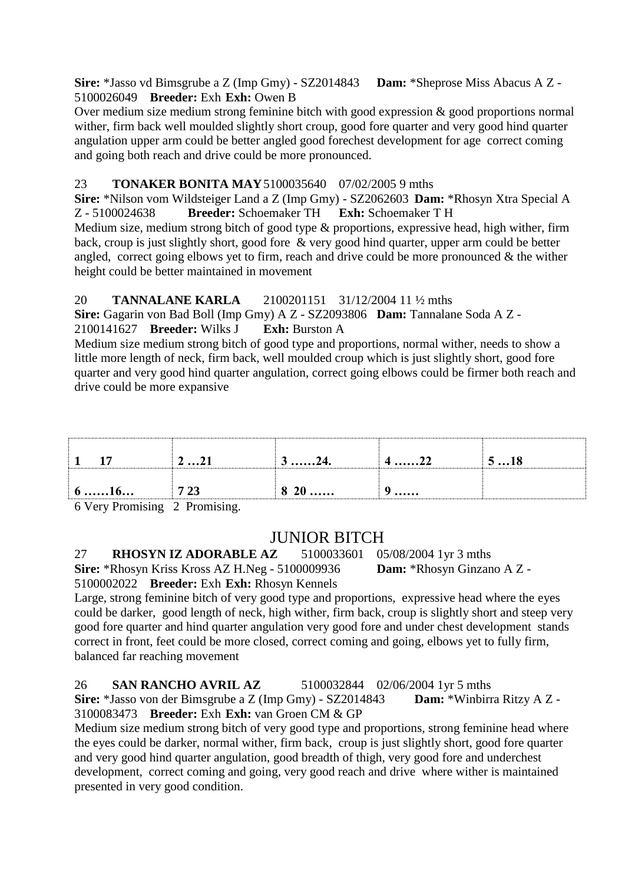**Sire:** \*Jasso vd Bimsgrube a Z (Imp Gmy) - SZ2014843 **Dam:** \*Sheprose Miss Abacus A Z - 5100026049 **Breeder:** Exh **Exh:** Owen B

Over medium size medium strong feminine bitch with good expression & good proportions normal wither, firm back well moulded slightly short croup, good fore quarter and very good hind quarter angulation upper arm could be better angled good forechest development for age correct coming and going both reach and drive could be more pronounced.

## 23 **TONAKER BONITA MAY**5100035640 07/02/2005 9 mths

**Sire:** \*Nilson vom Wildsteiger Land a Z (Imp Gmy) - SZ2062603 **Dam:** \*Rhosyn Xtra Special A Z - 5100024638 **Breeder:** Schoemaker TH **Exh:** Schoemaker T H

Medium size, medium strong bitch of good type & proportions, expressive head, high wither, firm back, croup is just slightly short, good fore & very good hind quarter, upper arm could be better angled, correct going elbows yet to firm, reach and drive could be more pronounced  $\&$  the wither height could be better maintained in movement

# 20 **TANNALANE KARLA** 2100201151 31/12/2004 11 ½ mths

**Sire:** Gagarin von Bad Boll (Imp Gmy) A Z - SZ2093806 **Dam:** Tannalane Soda A Z - 2100141627 **Breeder:** Wilks J **Exh:** Burston A

Medium size medium strong bitch of good type and proportions, normal wither, needs to show a little more length of neck, firm back, well moulded croup which is just slightly short, good fore quarter and very good hind quarter angulation, correct going elbows could be firmer both reach and drive could be more expansive

|                    | 221  | $3 \dots 24.$ | $4 \dots 22$ | 518 |
|--------------------|------|---------------|--------------|-----|
| $6 \dots 16 \dots$ | 7 23 | 820           | u<br>J       |     |

6 Very Promising 2 Promising.

# JUNIOR BITCH

27 **RHOSYN IZ ADORABLE AZ** 5100033601 05/08/2004 1yr 3 mths **Sire:** \*Rhosyn Kriss Kross AZ H.Neg - 5100009936 **Dam:** \*Rhosyn Ginzano A Z - 5100002022 **Breeder:** Exh **Exh:** Rhosyn Kennels

Large, strong feminine bitch of very good type and proportions, expressive head where the eyes could be darker, good length of neck, high wither, firm back, croup is slightly short and steep very good fore quarter and hind quarter angulation very good fore and under chest development stands correct in front, feet could be more closed, correct coming and going, elbows yet to fully firm, balanced far reaching movement

26 **SAN RANCHO AVRIL AZ** 5100032844 02/06/2004 1yr 5 mths **Sire:** \*Jasso von der Bimsgrube a Z (Imp Gmy) - SZ2014843 **Dam:** \*Winbirra Ritzy A Z - 3100083473 **Breeder:** Exh **Exh:** van Groen CM & GP

Medium size medium strong bitch of very good type and proportions, strong feminine head where the eyes could be darker, normal wither, firm back, croup is just slightly short, good fore quarter and very good hind quarter angulation, good breadth of thigh, very good fore and underchest development, correct coming and going, very good reach and drive where wither is maintained presented in very good condition.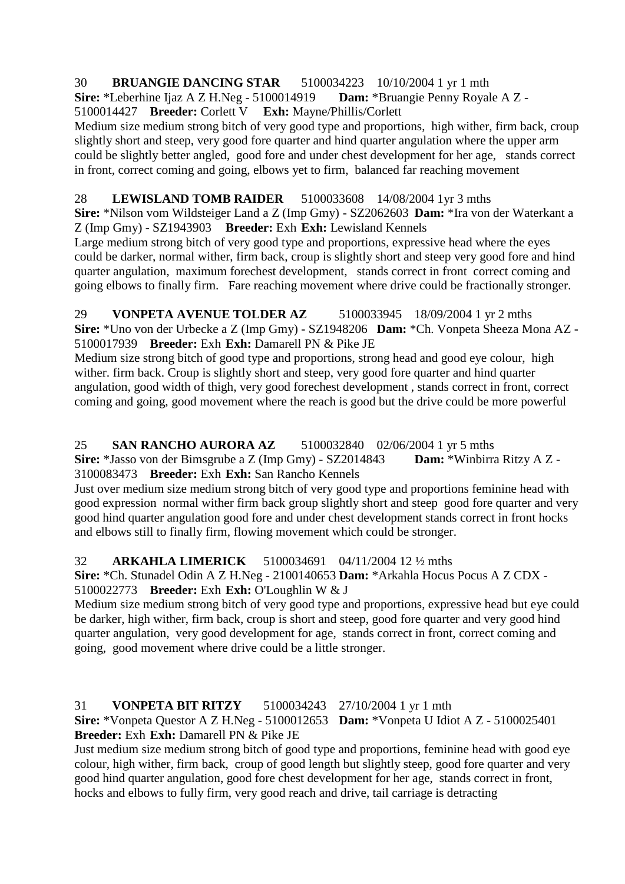# 30 **BRUANGIE DANCING STAR** 5100034223 10/10/2004 1 yr 1 mth

**Sire:** \*Leberhine Ijaz A Z H.Neg - 5100014919 **Dam:** \*Bruangie Penny Royale A Z -

5100014427 **Breeder:** Corlett V **Exh:** Mayne/Phillis/Corlett

Medium size medium strong bitch of very good type and proportions, high wither, firm back, croup slightly short and steep, very good fore quarter and hind quarter angulation where the upper arm could be slightly better angled, good fore and under chest development for her age, stands correct in front, correct coming and going, elbows yet to firm, balanced far reaching movement

# 28 **LEWISLAND TOMB RAIDER** 5100033608 14/08/2004 1yr 3 mths

**Sire:** \*Nilson vom Wildsteiger Land a Z (Imp Gmy) - SZ2062603 **Dam:** \*Ira von der Waterkant a Z (Imp Gmy) - SZ1943903 **Breeder:** Exh **Exh:** Lewisland Kennels

Large medium strong bitch of very good type and proportions, expressive head where the eyes could be darker, normal wither, firm back, croup is slightly short and steep very good fore and hind quarter angulation, maximum forechest development, stands correct in front correct coming and going elbows to finally firm. Fare reaching movement where drive could be fractionally stronger.

29 **VONPETA AVENUE TOLDER AZ** 5100033945 18/09/2004 1 yr 2 mths **Sire:** \*Uno von der Urbecke a Z (Imp Gmy) - SZ1948206 **Dam:** \*Ch. Vonpeta Sheeza Mona AZ - 5100017939 **Breeder:** Exh **Exh:** Damarell PN & Pike JE

Medium size strong bitch of good type and proportions, strong head and good eye colour, high wither. firm back. Croup is slightly short and steep, very good fore quarter and hind quarter angulation, good width of thigh, very good forechest development , stands correct in front, correct coming and going, good movement where the reach is good but the drive could be more powerful

#### 25 **SAN RANCHO AURORA AZ** 5100032840 02/06/2004 1 yr 5 mths **Sire:** \*Jasso von der Bimsgrube a Z (Imp Gmy) - SZ2014843 **Dam:** \*Winbirra Ritzy A Z - 3100083473 **Breeder:** Exh **Exh:** San Rancho Kennels

Just over medium size medium strong bitch of very good type and proportions feminine head with good expression normal wither firm back group slightly short and steep good fore quarter and very good hind quarter angulation good fore and under chest development stands correct in front hocks and elbows still to finally firm, flowing movement which could be stronger.

32 **ARKAHLA LIMERICK** 5100034691 04/11/2004 12 ½ mths **Sire:** \*Ch. Stunadel Odin A Z H.Neg - 2100140653 **Dam:** \*Arkahla Hocus Pocus A Z CDX -

5100022773 **Breeder:** Exh **Exh:** O'Loughlin W & J

Medium size medium strong bitch of very good type and proportions, expressive head but eye could be darker, high wither, firm back, croup is short and steep, good fore quarter and very good hind quarter angulation, very good development for age, stands correct in front, correct coming and going, good movement where drive could be a little stronger.

31 **VONPETA BIT RITZY** 5100034243 27/10/2004 1 yr 1 mth **Sire:** \*Vonpeta Questor A Z H.Neg - 5100012653 **Dam:** \*Vonpeta U Idiot A Z - 5100025401 **Breeder:** Exh **Exh:** Damarell PN & Pike JE

Just medium size medium strong bitch of good type and proportions, feminine head with good eye colour, high wither, firm back, croup of good length but slightly steep, good fore quarter and very good hind quarter angulation, good fore chest development for her age, stands correct in front, hocks and elbows to fully firm, very good reach and drive, tail carriage is detracting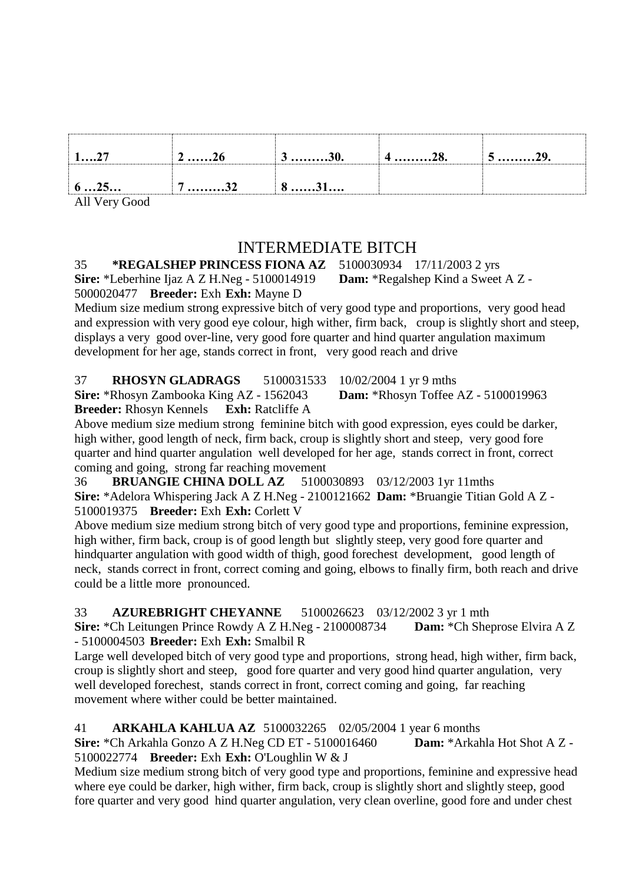| $\sim$<br>1 <i>. 1</i> | 440        | 4o. | $J$ $4J$ . |
|------------------------|------------|-----|------------|
| 625                    | J <i>l</i> |     |            |

All Very Good

# INTERMEDIATE BITCH

35 **\*REGALSHEP PRINCESS FIONA AZ** 5100030934 17/11/2003 2 yrs **Sire:** \*Leberhine Ijaz A Z H.Neg - 5100014919 **Dam:** \*Regalshep Kind a Sweet A Z -

5000020477 **Breeder:** Exh **Exh:** Mayne D

Medium size medium strong expressive bitch of very good type and proportions, very good head and expression with very good eye colour, high wither, firm back, croup is slightly short and steep, displays a very good over-line, very good fore quarter and hind quarter angulation maximum development for her age, stands correct in front, very good reach and drive

| 37<br><b>RHOSYN GLADRAGS</b>                    | 5100031533 10/02/2004 1 yr 9 mths          |  |
|-------------------------------------------------|--------------------------------------------|--|
| <b>Sire:</b> *Rhosyn Zambooka King AZ - 1562043 | <b>Dam:</b> *Rhosyn Toffee AZ - 5100019963 |  |
| <b>Breeder:</b> Rhosyn Kennels Exh: Ratcliffe A |                                            |  |

Above medium size medium strong feminine bitch with good expression, eyes could be darker, high wither, good length of neck, firm back, croup is slightly short and steep, very good fore quarter and hind quarter angulation well developed for her age, stands correct in front, correct coming and going, strong far reaching movement

36 **BRUANGIE CHINA DOLL AZ** 5100030893 03/12/2003 1yr 11mths **Sire:** \*Adelora Whispering Jack A Z H.Neg - 2100121662 **Dam:** \*Bruangie Titian Gold A Z - 5100019375 **Breeder:** Exh **Exh:** Corlett V

Above medium size medium strong bitch of very good type and proportions, feminine expression, high wither, firm back, croup is of good length but slightly steep, very good fore quarter and hindquarter angulation with good width of thigh, good forechest development, good length of neck, stands correct in front, correct coming and going, elbows to finally firm, both reach and drive could be a little more pronounced.

33 **AZUREBRIGHT CHEYANNE** 5100026623 03/12/2002 3 yr 1 mth **Sire:** \*Ch Leitungen Prince Rowdy A Z H.Neg - 2100008734 **Dam:** \*Ch Sheprose Elvira A Z - 5100004503 **Breeder:** Exh **Exh:** Smalbil R

Large well developed bitch of very good type and proportions, strong head, high wither, firm back, croup is slightly short and steep, good fore quarter and very good hind quarter angulation, very well developed forechest, stands correct in front, correct coming and going, far reaching movement where wither could be better maintained.

41 **ARKAHLA KAHLUA AZ** 5100032265 02/05/2004 1 year 6 months **Sire:** \*Ch Arkahla Gonzo A Z H.Neg CD ET - 5100016460 **Dam:** \*Arkahla Hot Shot A Z - 5100022774 **Breeder:** Exh **Exh:** O'Loughlin W & J

Medium size medium strong bitch of very good type and proportions, feminine and expressive head where eye could be darker, high wither, firm back, croup is slightly short and slightly steep, good fore quarter and very good hind quarter angulation, very clean overline, good fore and under chest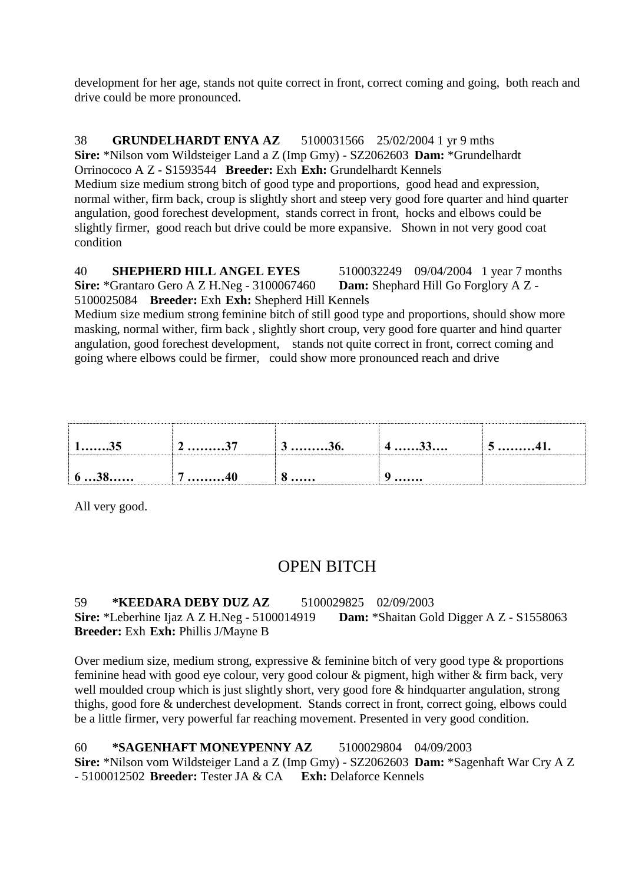development for her age, stands not quite correct in front, correct coming and going, both reach and drive could be more pronounced.

38 **GRUNDELHARDT ENYA AZ** 5100031566 25/02/2004 1 yr 9 mths **Sire:** \*Nilson vom Wildsteiger Land a Z (Imp Gmy) - SZ2062603 **Dam:** \*Grundelhardt Orrinococo A Z - S1593544 **Breeder:** Exh **Exh:** Grundelhardt Kennels Medium size medium strong bitch of good type and proportions, good head and expression, normal wither, firm back, croup is slightly short and steep very good fore quarter and hind quarter angulation, good forechest development, stands correct in front, hocks and elbows could be slightly firmer, good reach but drive could be more expansive. Shown in not very good coat condition

40 **SHEPHERD HILL ANGEL EYES** 5100032249 09/04/2004 1 year 7 months **Sire:** \*Grantaro Gero A Z H.Neg - 3100067460 **Dam:** Shephard Hill Go Forglory A Z - 5100025084 **Breeder:** Exh **Exh:** Shepherd Hill Kennels

Medium size medium strong feminine bitch of still good type and proportions, should show more masking, normal wither, firm back , slightly short croup, very good fore quarter and hind quarter angulation, good forechest development, stands not quite correct in front, correct coming and going where elbows could be firmer, could show more pronounced reach and drive

| $1$ 35 | $2$ 37 | $3 \dots 36.$ | $4$ 33                                              | 541. |
|--------|--------|---------------|-----------------------------------------------------|------|
| 638    | . 40   | $\mathbf{0}$  | $\bullet\bullet\bullet\bullet\bullet\bullet\bullet$ |      |

All very good.

# OPEN BITCH

#### 59 **\*KEEDARA DEBY DUZ AZ** 5100029825 02/09/2003 **Sire:** \*Leberhine Ijaz A Z H.Neg - 5100014919 **Dam:** \*Shaitan Gold Digger A Z - S1558063 **Breeder:** Exh **Exh:** Phillis J/Mayne B

Over medium size, medium strong, expressive & feminine bitch of very good type & proportions feminine head with good eye colour, very good colour & pigment, high wither & firm back, very well moulded croup which is just slightly short, very good fore & hindquarter angulation, strong thighs, good fore & underchest development. Stands correct in front, correct going, elbows could be a little firmer, very powerful far reaching movement. Presented in very good condition.

60 **\*SAGENHAFT MONEYPENNY AZ** 5100029804 04/09/2003 **Sire:** \*Nilson vom Wildsteiger Land a Z (Imp Gmy) - SZ2062603 **Dam:** \*Sagenhaft War Cry A Z - 5100012502 **Breeder:** Tester JA & CA **Exh:** Delaforce Kennels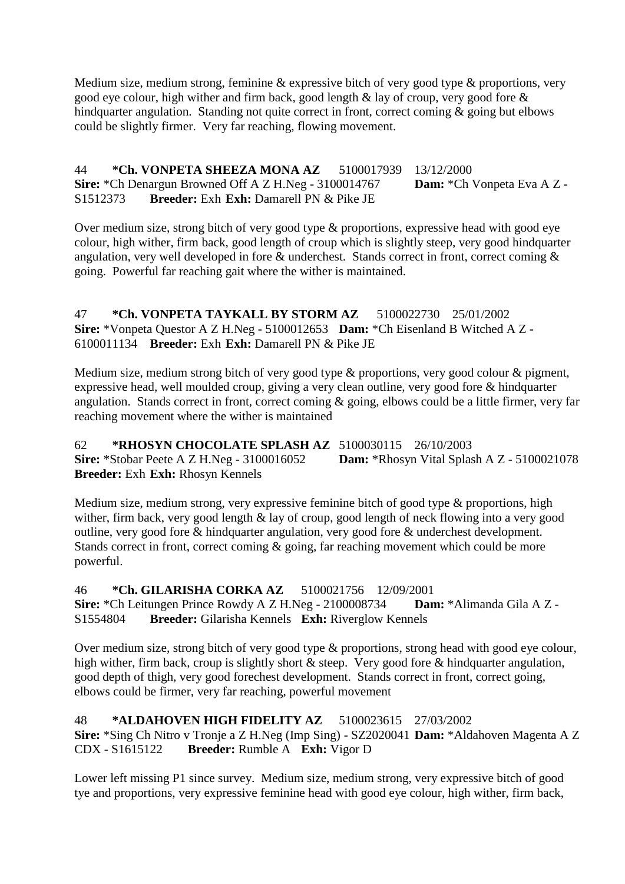Medium size, medium strong, feminine & expressive bitch of very good type & proportions, very good eye colour, high wither and firm back, good length & lay of croup, very good fore & hindquarter angulation. Standing not quite correct in front, correct coming & going but elbows could be slightly firmer. Very far reaching, flowing movement.

44 **\*Ch. VONPETA SHEEZA MONA AZ** 5100017939 13/12/2000 **Sire:** \*Ch Denargun Browned Off A Z H.Neg - 3100014767 **Dam:** \*Ch Vonpeta Eva A Z - S1512373 **Breeder:** Exh **Exh:** Damarell PN & Pike JE

Over medium size, strong bitch of very good type & proportions, expressive head with good eye colour, high wither, firm back, good length of croup which is slightly steep, very good hindquarter angulation, very well developed in fore & underchest. Stands correct in front, correct coming & going. Powerful far reaching gait where the wither is maintained.

47 **\*Ch. VONPETA TAYKALL BY STORM AZ** 5100022730 25/01/2002 **Sire:** \*Vonpeta Questor A Z H.Neg - 5100012653 **Dam:** \*Ch Eisenland B Witched A Z - 6100011134 **Breeder:** Exh **Exh:** Damarell PN & Pike JE

Medium size, medium strong bitch of very good type & proportions, very good colour & pigment, expressive head, well moulded croup, giving a very clean outline, very good fore & hindquarter angulation. Stands correct in front, correct coming & going, elbows could be a little firmer, very far reaching movement where the wither is maintained

62 **\*RHOSYN CHOCOLATE SPLASH AZ** 5100030115 26/10/2003 **Sire:** \*Stobar Peete A Z H.Neg - 3100016052 **Dam:** \*Rhosyn Vital Splash A Z - 5100021078 **Breeder:** Exh **Exh:** Rhosyn Kennels

Medium size, medium strong, very expressive feminine bitch of good type & proportions, high wither, firm back, very good length & lay of croup, good length of neck flowing into a very good outline, very good fore & hindquarter angulation, very good fore & underchest development. Stands correct in front, correct coming & going, far reaching movement which could be more powerful.

46 **\*Ch. GILARISHA CORKA AZ** 5100021756 12/09/2001 **Sire:** \*Ch Leitungen Prince Rowdy A Z H.Neg - 2100008734 **Dam:** \*Alimanda Gila A Z - S1554804 **Breeder:** Gilarisha Kennels **Exh:** Riverglow Kennels

Over medium size, strong bitch of very good type & proportions, strong head with good eye colour, high wither, firm back, croup is slightly short & steep. Very good fore & hindquarter angulation, good depth of thigh, very good forechest development. Stands correct in front, correct going, elbows could be firmer, very far reaching, powerful movement

48 **\*ALDAHOVEN HIGH FIDELITY AZ** 5100023615 27/03/2002 **Sire:** \*Sing Ch Nitro v Tronje a Z H.Neg (Imp Sing) - SZ2020041 **Dam:** \*Aldahoven Magenta A Z CDX - S1615122 **Breeder:** Rumble A **Exh:** Vigor D

Lower left missing P1 since survey. Medium size, medium strong, very expressive bitch of good tye and proportions, very expressive feminine head with good eye colour, high wither, firm back,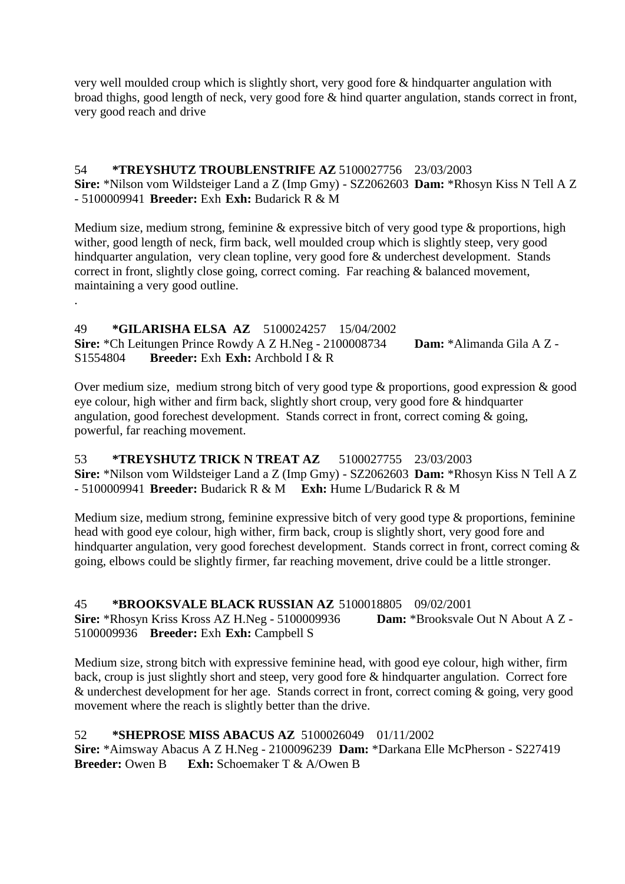very well moulded croup which is slightly short, very good fore & hindquarter angulation with broad thighs, good length of neck, very good fore & hind quarter angulation, stands correct in front, very good reach and drive

#### 54 **\*TREYSHUTZ TROUBLENSTRIFE AZ** 5100027756 23/03/2003 **Sire:** \*Nilson vom Wildsteiger Land a Z (Imp Gmy) - SZ2062603 **Dam:** \*Rhosyn Kiss N Tell A Z - 5100009941 **Breeder:** Exh **Exh:** Budarick R & M

Medium size, medium strong, feminine & expressive bitch of very good type & proportions, high wither, good length of neck, firm back, well moulded croup which is slightly steep, very good hindquarter angulation, very clean topline, very good fore & underchest development. Stands correct in front, slightly close going, correct coming. Far reaching & balanced movement, maintaining a very good outline.

#### 49 **\*GILARISHA ELSA AZ** 5100024257 15/04/2002 **Sire:** \*Ch Leitungen Prince Rowdy A Z H.Neg - 2100008734 **Dam:** \*Alimanda Gila A Z - S1554804 **Breeder:** Exh **Exh:** Archbold I & R

.

Over medium size, medium strong bitch of very good type & proportions, good expression & good eye colour, high wither and firm back, slightly short croup, very good fore & hindquarter angulation, good forechest development. Stands correct in front, correct coming & going, powerful, far reaching movement.

#### 53 **\*TREYSHUTZ TRICK N TREAT AZ** 5100027755 23/03/2003 **Sire:** \*Nilson vom Wildsteiger Land a Z (Imp Gmy) - SZ2062603 **Dam:** \*Rhosyn Kiss N Tell A Z - 5100009941 **Breeder:** Budarick R & M **Exh:** Hume L/Budarick R & M

Medium size, medium strong, feminine expressive bitch of very good type & proportions, feminine head with good eye colour, high wither, firm back, croup is slightly short, very good fore and hindquarter angulation, very good forechest development. Stands correct in front, correct coming & going, elbows could be slightly firmer, far reaching movement, drive could be a little stronger.

## 45 **\*BROOKSVALE BLACK RUSSIAN AZ** 5100018805 09/02/2001

**Sire:** \*Rhosyn Kriss Kross AZ H.Neg - 5100009936 **Dam:** \*Brooksvale Out N About A Z - 5100009936 **Breeder:** Exh **Exh:** Campbell S

Medium size, strong bitch with expressive feminine head, with good eye colour, high wither, firm back, croup is just slightly short and steep, very good fore & hindquarter angulation. Correct fore & underchest development for her age. Stands correct in front, correct coming & going, very good movement where the reach is slightly better than the drive.

## 52 **\*SHEPROSE MISS ABACUS AZ** 5100026049 01/11/2002

**Sire:** \*Aimsway Abacus A Z H.Neg - 2100096239 **Dam:** \*Darkana Elle McPherson - S227419 **Breeder:** Owen B **Exh:** Schoemaker T & A/Owen B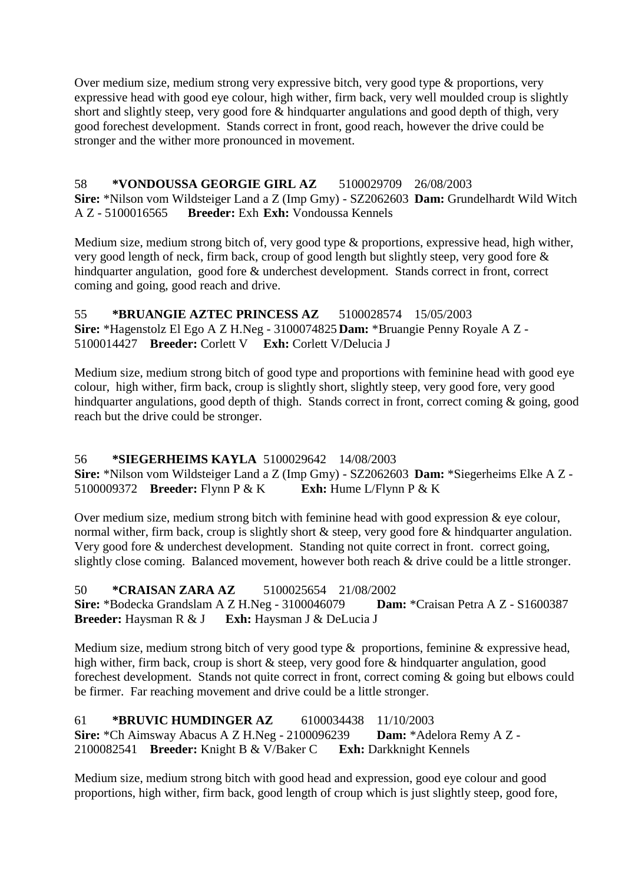Over medium size, medium strong very expressive bitch, very good type & proportions, very expressive head with good eye colour, high wither, firm back, very well moulded croup is slightly short and slightly steep, very good fore & hindquarter angulations and good depth of thigh, very good forechest development. Stands correct in front, good reach, however the drive could be stronger and the wither more pronounced in movement.

#### 58 **\*VONDOUSSA GEORGIE GIRL AZ** 5100029709 26/08/2003 **Sire:** \*Nilson vom Wildsteiger Land a Z (Imp Gmy) - SZ2062603 **Dam:** Grundelhardt Wild Witch A Z - 5100016565 **Breeder:** Exh **Exh:** Vondoussa Kennels

Medium size, medium strong bitch of, very good type & proportions, expressive head, high wither, very good length of neck, firm back, croup of good length but slightly steep, very good fore & hindquarter angulation, good fore & underchest development. Stands correct in front, correct coming and going, good reach and drive.

55 **\*BRUANGIE AZTEC PRINCESS AZ** 5100028574 15/05/2003 **Sire:** \*Hagenstolz El Ego A Z H.Neg - 3100074825 **Dam:** \*Bruangie Penny Royale A Z - 5100014427 **Breeder:** Corlett V **Exh:** Corlett V/Delucia J

Medium size, medium strong bitch of good type and proportions with feminine head with good eye colour, high wither, firm back, croup is slightly short, slightly steep, very good fore, very good hindquarter angulations, good depth of thigh. Stands correct in front, correct coming & going, good reach but the drive could be stronger.

## 56 **\*SIEGERHEIMS KAYLA** 5100029642 14/08/2003

**Sire:** \*Nilson vom Wildsteiger Land a Z (Imp Gmy) - SZ2062603 **Dam:** \*Siegerheims Elke A Z - 5100009372 **Breeder:** Flynn P & K **Exh:** Hume L/Flynn P & K

Over medium size, medium strong bitch with feminine head with good expression  $\&$  eye colour, normal wither, firm back, croup is slightly short & steep, very good fore & hindquarter angulation. Very good fore & underchest development. Standing not quite correct in front. correct going, slightly close coming. Balanced movement, however both reach & drive could be a little stronger.

50 **\*CRAISAN ZARA AZ** 5100025654 21/08/2002 **Sire:** \*Bodecka Grandslam A Z H.Neg - 3100046079 **Dam:** \*Craisan Petra A Z - S1600387 **Breeder:** Haysman R & J **Exh:** Haysman J & DeLucia J

Medium size, medium strong bitch of very good type & proportions, feminine & expressive head, high wither, firm back, croup is short & steep, very good fore & hindquarter angulation, good forechest development. Stands not quite correct in front, correct coming & going but elbows could be firmer. Far reaching movement and drive could be a little stronger.

61 **\*BRUVIC HUMDINGER AZ** 6100034438 11/10/2003 **Sire:** \*Ch Aimsway Abacus A Z H.Neg - 2100096239 **Dam:** \*Adelora Remy A Z - 2100082541 **Breeder:** Knight B & V/Baker C **Exh:** Darkknight Kennels

Medium size, medium strong bitch with good head and expression, good eye colour and good proportions, high wither, firm back, good length of croup which is just slightly steep, good fore,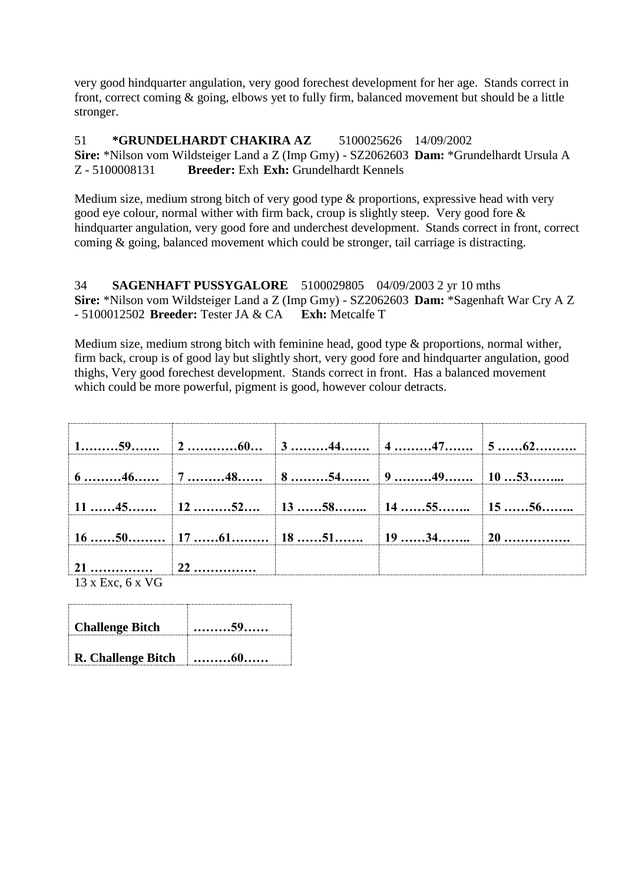very good hindquarter angulation, very good forechest development for her age. Stands correct in front, correct coming & going, elbows yet to fully firm, balanced movement but should be a little stronger.

51 **\*GRUNDELHARDT CHAKIRA AZ** 5100025626 14/09/2002 **Sire:** \*Nilson vom Wildsteiger Land a Z (Imp Gmy) - SZ2062603 **Dam:** \*Grundelhardt Ursula A Z - 5100008131 **Breeder:** Exh **Exh:** Grundelhardt Kennels

Medium size, medium strong bitch of very good type & proportions, expressive head with very good eye colour, normal wither with firm back, croup is slightly steep. Very good fore & hindquarter angulation, very good fore and underchest development. Stands correct in front, correct coming & going, balanced movement which could be stronger, tail carriage is distracting.

34 **SAGENHAFT PUSSYGALORE** 5100029805 04/09/2003 2 yr 10 mths **Sire:** \*Nilson vom Wildsteiger Land a Z (Imp Gmy) - SZ2062603 **Dam:** \*Sagenhaft War Cry A Z - 5100012502 **Breeder:** Tester JA & CA **Exh:** Metcalfe T

Medium size, medium strong bitch with feminine head, good type & proportions, normal wither, firm back, croup is of good lay but slightly short, very good fore and hindquarter angulation, good thighs, Very good forechest development. Stands correct in front. Has a balanced movement which could be more powerful, pigment is good, however colour detracts.

|                         | $\vert$ 11 ……45……… $\vert$ 12 ………52…… $\vert$ 13 ……58……… $\vert$ 14 ……55……… $\vert$ 15 ……56……… |  |  |
|-------------------------|------------------------------------------------------------------------------------------------|--|--|
|                         | 16 ……50………   17 ……61………   18 ……51………   19 ……34………   20 ……………                                   |  |  |
|                         |                                                                                                |  |  |
| $13 \times$ Exc, 6 x VG |                                                                                                |  |  |

**Challenge Bitch ………59…… R. Challenge Bitch ………60……**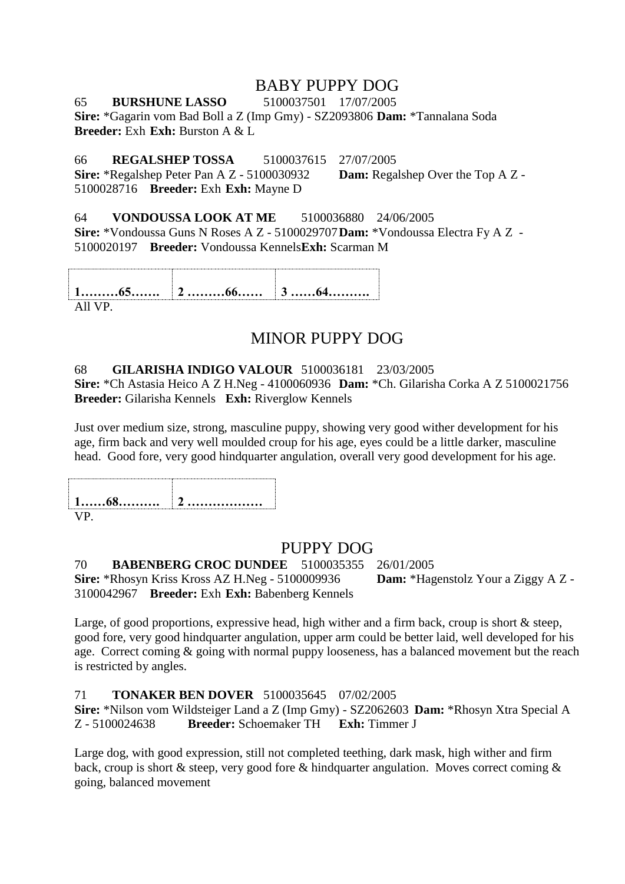# BABY PUPPY DOG

65 **BURSHUNE LASSO** 5100037501 17/07/2005 **Sire:** \*Gagarin vom Bad Boll a Z (Imp Gmy) - SZ2093806 **Dam:** \*Tannalana Soda **Breeder:** Exh **Exh:** Burston A & L

66 **REGALSHEP TOSSA** 5100037615 27/07/2005 **Sire:** \*Regalshep Peter Pan A Z - 5100030932 **Dam:** Regalshep Over the Top A Z - 5100028716 **Breeder:** Exh **Exh:** Mayne D

#### 64 **VONDOUSSA LOOK AT ME** 5100036880 24/06/2005

**Sire:** \*Vondoussa Guns N Roses A Z - 5100029707**Dam:** \*Vondoussa Electra Fy A Z - 5100020197 **Breeder:** Vondoussa Kennels**Exh:** Scarman M

**1………65……. 2 ………66…… 3 ……64……….**

All VP.

# MINOR PUPPY DOG

#### 68 **GILARISHA INDIGO VALOUR** 5100036181 23/03/2005

**Sire:** \*Ch Astasia Heico A Z H.Neg - 4100060936 **Dam:** \*Ch. Gilarisha Corka A Z 5100021756 **Breeder:** Gilarisha Kennels **Exh:** Riverglow Kennels

Just over medium size, strong, masculine puppy, showing very good wither development for his age, firm back and very well moulded croup for his age, eyes could be a little darker, masculine head. Good fore, very good hindquarter angulation, overall very good development for his age.

**1……68………. 2 ………………** VP.

# PUPPY DOG

70 **BABENBERG CROC DUNDEE** 5100035355 26/01/2005 **Sire:** \*Rhosyn Kriss Kross AZ H.Neg - 5100009936 **Dam:** \*Hagenstolz Your a Ziggy A Z -

3100042967 **Breeder:** Exh **Exh:** Babenberg Kennels

Large, of good proportions, expressive head, high wither and a firm back, croup is short & steep, good fore, very good hindquarter angulation, upper arm could be better laid, well developed for his age. Correct coming & going with normal puppy looseness, has a balanced movement but the reach is restricted by angles.

#### 71 **TONAKER BEN DOVER** 5100035645 07/02/2005

**Sire:** \*Nilson vom Wildsteiger Land a Z (Imp Gmy) - SZ2062603 **Dam:** \*Rhosyn Xtra Special A Z - 5100024638 **Breeder:** Schoemaker TH **Exh:** Timmer J

Large dog, with good expression, still not completed teething, dark mask, high wither and firm back, croup is short & steep, very good fore & hindquarter angulation. Moves correct coming & going, balanced movement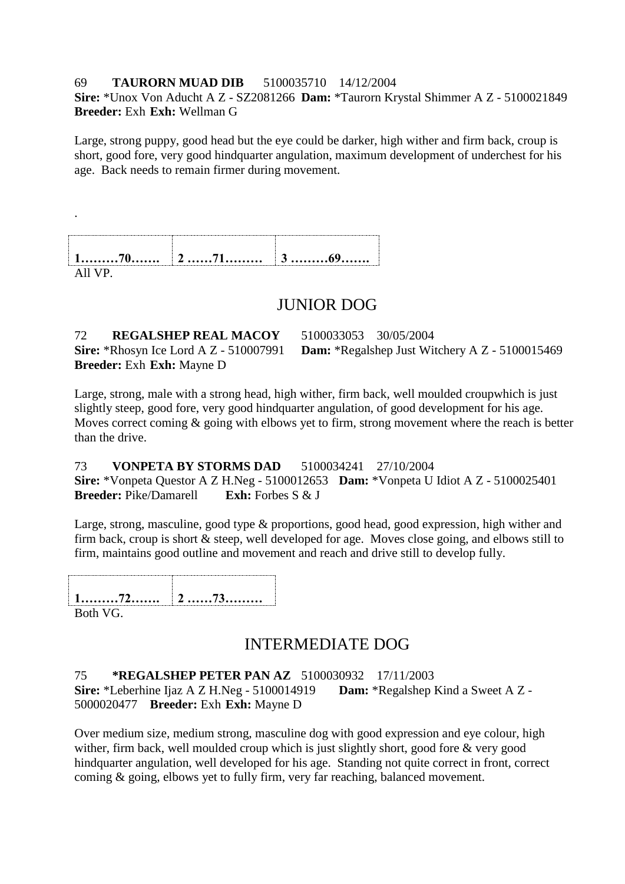#### 69 **TAURORN MUAD DIB** 5100035710 14/12/2004

**Sire:** \*Unox Von Aducht A Z - SZ2081266 **Dam:** \*Taurorn Krystal Shimmer A Z - 5100021849 **Breeder:** Exh **Exh:** Wellman G

Large, strong puppy, good head but the eye could be darker, high wither and firm back, croup is short, good fore, very good hindquarter angulation, maximum development of underchest for his age. Back needs to remain firmer during movement.

| 4 | $J$ 07 |
|---|--------|
|   |        |

# JUNIOR DOG

72 **REGALSHEP REAL MACOY** 5100033053 30/05/2004 **Breeder:** Exh **Exh:** Mayne D

**Sire:** \*Rhosyn Ice Lord A Z - 510007991 **Dam:** \*Regalshep Just Witchery A Z - 5100015469

Large, strong, male with a strong head, high wither, firm back, well moulded croupwhich is just slightly steep, good fore, very good hindquarter angulation, of good development for his age. Moves correct coming  $\&$  going with elbows yet to firm, strong movement where the reach is better than the drive.

73 **VONPETA BY STORMS DAD** 5100034241 27/10/2004 **Sire:** \*Vonpeta Questor A Z H.Neg - 5100012653 **Dam:** \*Vonpeta U Idiot A Z - 5100025401<br>**Rreeder:** Pike/Damarell **Exh:** Forbes S & I **Breeder:** Pike/Damarell

Large, strong, masculine, good type & proportions, good head, good expression, high wither and firm back, croup is short & steep, well developed for age. Moves close going, and elbows still to firm, maintains good outline and movement and reach and drive still to develop fully.

**1………72……. 2 ……73………** Both VG.

.

# INTERMEDIATE DOG

75 **\*REGALSHEP PETER PAN AZ** 5100030932 17/11/2003 **Sire:** \*Leberhine Ijaz A Z H.Neg - 5100014919 **Dam:** \*Regalshep Kind a Sweet A Z - 5000020477 **Breeder:** Exh **Exh:** Mayne D

Over medium size, medium strong, masculine dog with good expression and eye colour, high wither, firm back, well moulded croup which is just slightly short, good fore & very good hindquarter angulation, well developed for his age. Standing not quite correct in front, correct coming & going, elbows yet to fully firm, very far reaching, balanced movement.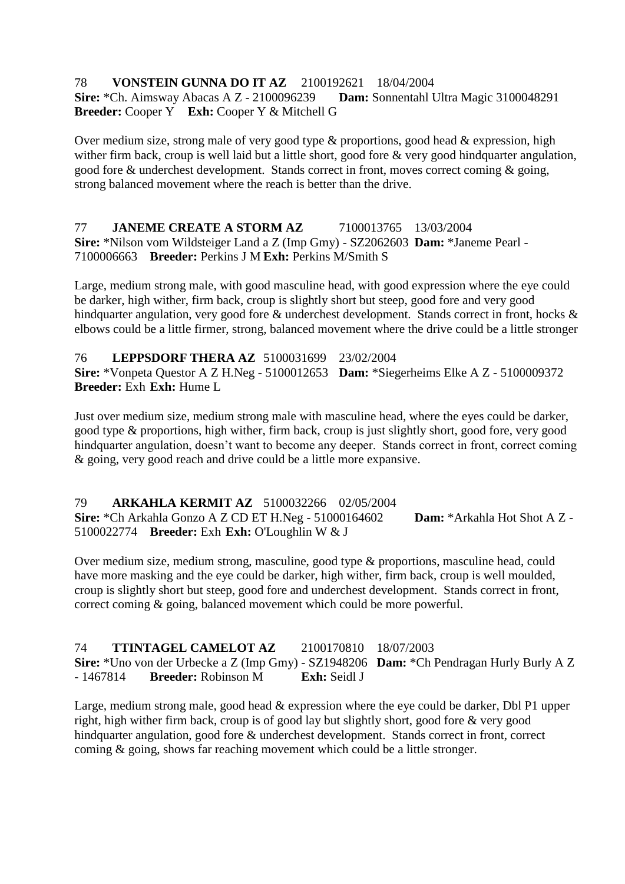#### 78 **VONSTEIN GUNNA DO IT AZ** 2100192621 18/04/2004 **Sire:** \*Ch. Aimsway Abacas A Z - 2100096239 **Dam:** Sonnentahl Ultra Magic 3100048291 **Breeder:** Cooper Y **Exh:** Cooper Y & Mitchell G

Over medium size, strong male of very good type & proportions, good head & expression, high wither firm back, croup is well laid but a little short, good fore & very good hindquarter angulation, good fore & underchest development. Stands correct in front, moves correct coming & going, strong balanced movement where the reach is better than the drive.

#### 77 **JANEME CREATE A STORM AZ** 7100013765 13/03/2004 **Sire:** \*Nilson vom Wildsteiger Land a Z (Imp Gmy) - SZ2062603 **Dam:** \*Janeme Pearl - 7100006663 **Breeder:** Perkins J M **Exh:** Perkins M/Smith S

Large, medium strong male, with good masculine head, with good expression where the eye could be darker, high wither, firm back, croup is slightly short but steep, good fore and very good hindquarter angulation, very good fore & underchest development. Stands correct in front, hocks & elbows could be a little firmer, strong, balanced movement where the drive could be a little stronger

76 **LEPPSDORF THERA AZ** 5100031699 23/02/2004 **Sire:** \*Vonpeta Questor A Z H.Neg - 5100012653 **Dam:** \*Siegerheims Elke A Z - 5100009372 **Breeder:** Exh **Exh:** Hume L

Just over medium size, medium strong male with masculine head, where the eyes could be darker, good type & proportions, high wither, firm back, croup is just slightly short, good fore, very good hindquarter angulation, doesn't want to become any deeper. Stands correct in front, correct coming & going, very good reach and drive could be a little more expansive.

79 **ARKAHLA KERMIT AZ** 5100032266 02/05/2004 **Sire:** \*Ch Arkahla Gonzo A Z CD ET H.Neg - 51000164602 **Dam:** \*Arkahla Hot Shot A Z - 5100022774 **Breeder:** Exh **Exh:** O'Loughlin W & J

Over medium size, medium strong, masculine, good type & proportions, masculine head, could have more masking and the eye could be darker, high wither, firm back, croup is well moulded, croup is slightly short but steep, good fore and underchest development. Stands correct in front, correct coming & going, balanced movement which could be more powerful.

74 **TTINTAGEL CAMELOT AZ** 2100170810 18/07/2003 **Sire:** \*Uno von der Urbecke a Z (Imp Gmy) - SZ1948206 **Dam:** \*Ch Pendragan Hurly Burly A Z - 1467814 **Breeder:** Robinson M **Exh:** Seidl J

Large, medium strong male, good head & expression where the eye could be darker, Dbl P1 upper right, high wither firm back, croup is of good lay but slightly short, good fore & very good hindquarter angulation, good fore & underchest development. Stands correct in front, correct coming & going, shows far reaching movement which could be a little stronger.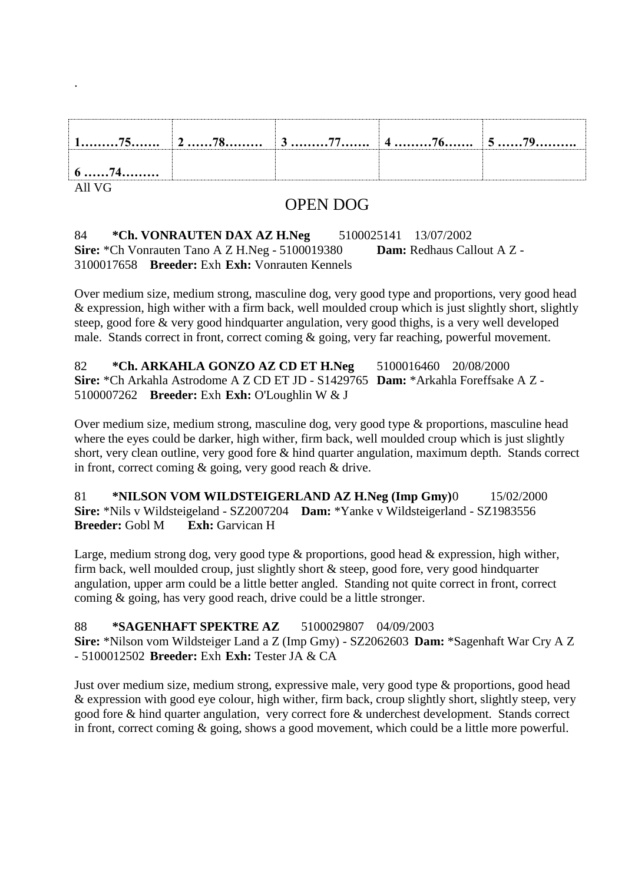| $6 \ldots 74 \ldots$ |  |  |
|----------------------|--|--|

All VG

.

# OPEN DOG

#### 84 **\*Ch. VONRAUTEN DAX AZ H.Neg** 5100025141 13/07/2002 **Sire:** \*Ch Vonrauten Tano A Z H.Neg - 5100019380 **Dam:** Redhaus Callout A Z - 3100017658 **Breeder:** Exh **Exh:** Vonrauten Kennels

Over medium size, medium strong, masculine dog, very good type and proportions, very good head & expression, high wither with a firm back, well moulded croup which is just slightly short, slightly steep, good fore & very good hindquarter angulation, very good thighs, is a very well developed male. Stands correct in front, correct coming & going, very far reaching, powerful movement.

82 **\*Ch. ARKAHLA GONZO AZ CD ET H.Neg** 5100016460 20/08/2000 **Sire:** \*Ch Arkahla Astrodome A Z CD ET JD - S1429765 **Dam:** \*Arkahla Foreffsake A Z - 5100007262 **Breeder:** Exh **Exh:** O'Loughlin W & J

Over medium size, medium strong, masculine dog, very good type & proportions, masculine head where the eyes could be darker, high wither, firm back, well moulded croup which is just slightly short, very clean outline, very good fore & hind quarter angulation, maximum depth. Stands correct in front, correct coming & going, very good reach & drive.

81 **\*NILSON VOM WILDSTEIGERLAND AZ H.Neg (Imp Gmy)**0 15/02/2000 **Sire:** \*Nils v Wildsteigeland - SZ2007204 **Dam:** \*Yanke v Wildsteigerland - SZ1983556 **Breeder:** Gobl M **Exh:** Garvican H

Large, medium strong dog, very good type & proportions, good head & expression, high wither, firm back, well moulded croup, just slightly short  $\&$  steep, good fore, very good hindquarter angulation, upper arm could be a little better angled. Standing not quite correct in front, correct coming & going, has very good reach, drive could be a little stronger.

88 **\*SAGENHAFT SPEKTRE AZ** 5100029807 04/09/2003 **Sire:** \*Nilson vom Wildsteiger Land a Z (Imp Gmy) - SZ2062603 **Dam:** \*Sagenhaft War Cry A Z - 5100012502 **Breeder:** Exh **Exh:** Tester JA & CA

Just over medium size, medium strong, expressive male, very good type & proportions, good head & expression with good eye colour, high wither, firm back, croup slightly short, slightly steep, very good fore & hind quarter angulation, very correct fore & underchest development. Stands correct in front, correct coming & going, shows a good movement, which could be a little more powerful.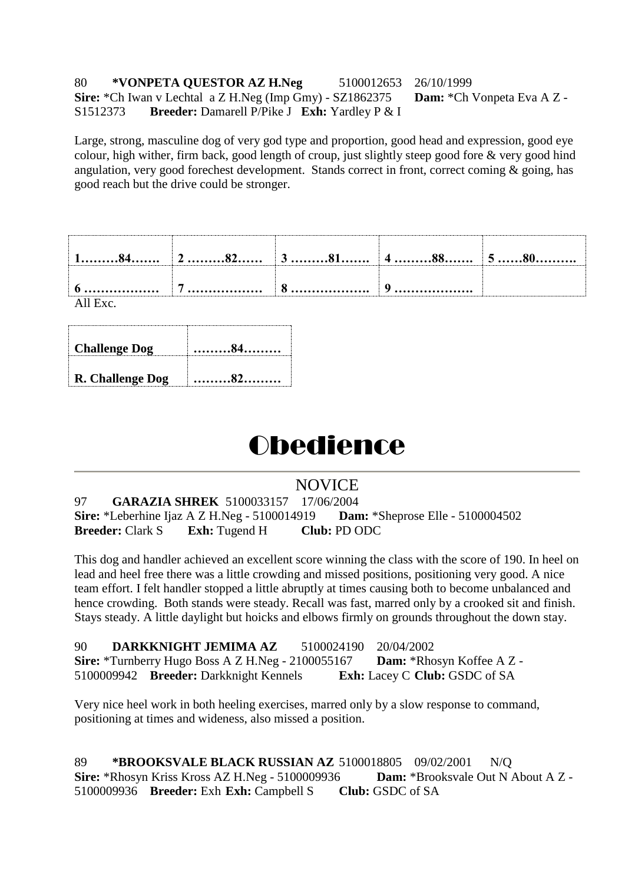#### 80 **\*VONPETA QUESTOR AZ H.Neg** 5100012653 26/10/1999 **Sire:** \*Ch Iwan v Lechtal a Z H.Neg (Imp Gmy) - SZ1862375 **Dam:** \*Ch Vonpeta Eva A Z - S1512373 **Breeder:** Damarell P/Pike J **Exh:** Yardley P & I

Large, strong, masculine dog of very god type and proportion, good head and expression, good eye colour, high wither, firm back, good length of croup, just slightly steep good fore & very good hind angulation, very good forechest development. Stands correct in front, correct coming & going, has good reach but the drive could be stronger.

| All Exc. |  |  |
|----------|--|--|

| <b>Challenge Dog</b> | . 84.     |
|----------------------|-----------|
| R. Challenge Dog     | $\sim 82$ |

# **Obedience**

# NOVICE

97 **GARAZIA SHREK** 5100033157 17/06/2004 **Sire:** \*Leberhine Ijaz A Z H.Neg - 5100014919 **Dam:** \*Sheprose Elle - 5100004502 **Breeder:** Clark S **Exh:** Tugend H **Club:** PD ODC

This dog and handler achieved an excellent score winning the class with the score of 190. In heel on lead and heel free there was a little crowding and missed positions, positioning very good. A nice team effort. I felt handler stopped a little abruptly at times causing both to become unbalanced and hence crowding. Both stands were steady. Recall was fast, marred only by a crooked sit and finish. Stays steady. A little daylight but hoicks and elbows firmly on grounds throughout the down stay.

| 90 | DARKKNIGHT JEMIMA AZ                                       | 5100024190 20/04/2002 |                                             |
|----|------------------------------------------------------------|-----------------------|---------------------------------------------|
|    | <b>Sire:</b> *Turnberry Hugo Boss A Z H.Neg - $2100055167$ |                       | <b>Dam:</b> *Rhosyn Koffee A Z -            |
|    | 5100009942 Breeder: Darkknight Kennels                     |                       | <b>Exh:</b> Lacey C <b>Club:</b> GSDC of SA |

Very nice heel work in both heeling exercises, marred only by a slow response to command, positioning at times and wideness, also missed a position.

89 **\*BROOKSVALE BLACK RUSSIAN AZ** 5100018805 09/02/2001 N/Q **Sire:** \*Rhosyn Kriss Kross AZ H.Neg - 5100009936 **Dam:** \*Brooksvale Out N About A Z - 5100009936 **Breeder:** Exh **Exh:** Campbell S **Club:** GSDC of SA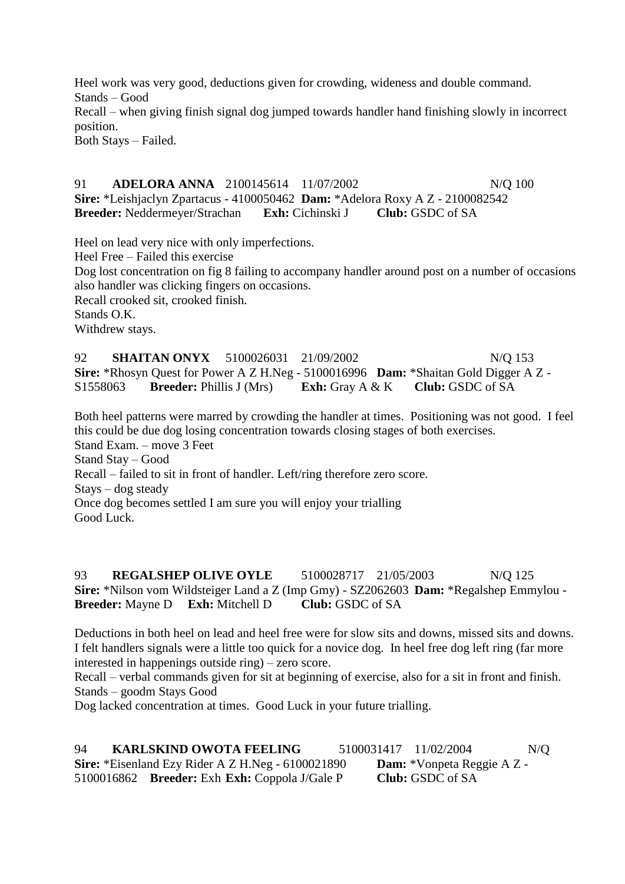Heel work was very good, deductions given for crowding, wideness and double command. Stands – Good Recall – when giving finish signal dog jumped towards handler hand finishing slowly in incorrect position. Both Stays – Failed.

91 **ADELORA ANNA** 2100145614 11/07/2002 N/O 100 **Sire:** \*Leishjaclyn Zpartacus - 4100050462 **Dam:** \*Adelora Roxy A Z - 2100082542 **Breeder:** Neddermeyer/Strachan **Exh:** Cichinski J **Club:** GSDC of SA

Heel on lead very nice with only imperfections.

Heel Free – Failed this exercise

Dog lost concentration on fig 8 failing to accompany handler around post on a number of occasions also handler was clicking fingers on occasions.

Recall crooked sit, crooked finish.

Stands O.K.

Withdrew stays.

92 **SHAITAN ONYX** 5100026031 21/09/2002 N/Q 153 **Sire:** \*Rhosyn Quest for Power A Z H.Neg - 5100016996 **Dam:** \*Shaitan Gold Digger A Z - S1558063 **Breeder:** Phillis J (Mrs) **Exh:** Gray A & K **Club:** GSDC of SA

Both heel patterns were marred by crowding the handler at times. Positioning was not good. I feel this could be due dog losing concentration towards closing stages of both exercises. Stand Exam. – move 3 Feet Stand Stay – Good

Recall – failed to sit in front of handler. Left/ring therefore zero score.

Stays – dog steady

Once dog becomes settled I am sure you will enjoy your trialling

Good Luck.

93 **REGALSHEP OLIVE OYLE** 5100028717 21/05/2003 N/O 125 **Sire:** \*Nilson vom Wildsteiger Land a Z (Imp Gmy) - SZ2062603 **Dam:** \*Regalshep Emmylou - **Breeder:** Mayne D **Exh:** Mitchell D **Club:** GSDC of SA

Deductions in both heel on lead and heel free were for slow sits and downs, missed sits and downs. I felt handlers signals were a little too quick for a novice dog. In heel free dog left ring (far more interested in happenings outside ring) – zero score.

Recall – verbal commands given for sit at beginning of exercise, also for a sit in front and finish. Stands – goodm Stays Good

Dog lacked concentration at times. Good Luck in your future trialling.

94 **KARLSKIND OWOTA FEELING** 5100031417 11/02/2004 N/Q **Sire:** \*Eisenland Ezy Rider A Z H.Neg - 6100021890 **Dam:** \*Vonpeta Reggie A Z - 5100016862 **Breeder:** Exh **Exh:** Coppola J/Gale P **Club:** GSDC of SA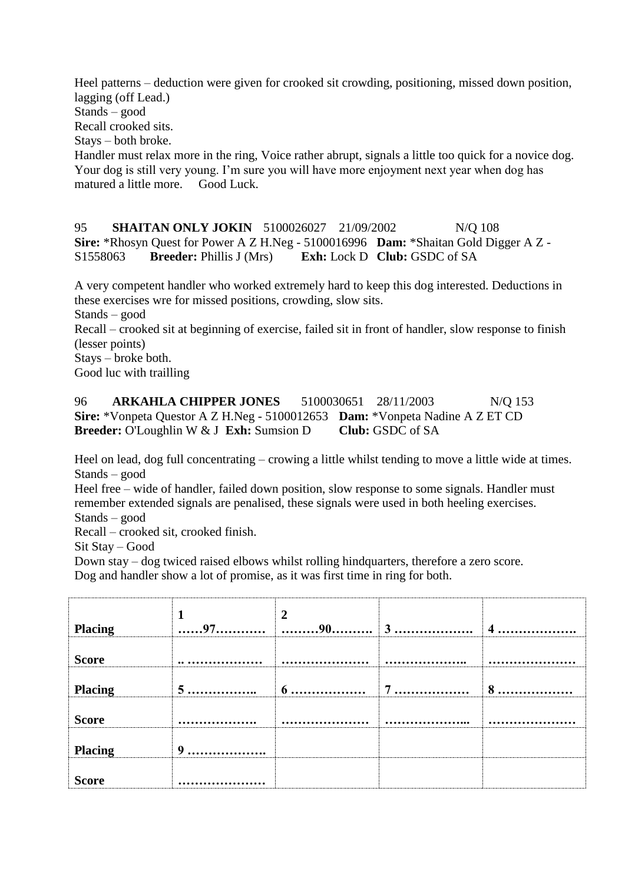Heel patterns – deduction were given for crooked sit crowding, positioning, missed down position, lagging (off Lead.)

Stands – good

Recall crooked sits.

Stays – both broke.

Handler must relax more in the ring, Voice rather abrupt, signals a little too quick for a novice dog. Your dog is still very young. I'm sure you will have more enjoyment next year when dog has matured a little more. Good Luck.

95 **SHAITAN ONLY JOKIN** 5100026027 21/09/2002 N/Q 108 **Sire:** \*Rhosyn Quest for Power A Z H.Neg - 5100016996 **Dam:** \*Shaitan Gold Digger A Z - S1558063 **Breeder:** Phillis J (Mrs) **Exh:** Lock D **Club:** GSDC of SA

A very competent handler who worked extremely hard to keep this dog interested. Deductions in these exercises wre for missed positions, crowding, slow sits.

Stands – good

Recall – crooked sit at beginning of exercise, failed sit in front of handler, slow response to finish (lesser points)

Stays – broke both.

Good luc with trailling

96 **ARKAHLA CHIPPER JONES** 5100030651 28/11/2003 N/O 153 **Sire:** \*Vonpeta Questor A Z H.Neg - 5100012653 **Dam:** \*Vonpeta Nadine A Z ET CD **Breeder:** O'Loughlin W & J **Exh:** Sumsion D **Club:** GSDC of SA

Heel on lead, dog full concentrating – crowing a little whilst tending to move a little wide at times. Stands – good

Heel free – wide of handler, failed down position, slow response to some signals. Handler must remember extended signals are penalised, these signals were used in both heeling exercises. Stands – good

Recall – crooked sit, crooked finish.

Sit Stay – Good

Down stay – dog twiced raised elbows whilst rolling hindquarters, therefore a zero score.

Dog and handler show a lot of promise, as it was first time in ring for both.

| <b>Placing</b> |   | $\overline{2}$ |        | $\overline{\mathbf{4}}$ |
|----------------|---|----------------|--------|-------------------------|
| <b>Score</b>   |   |                | .      |                         |
| <b>Placing</b> | 5 | 6              | 7<br>. | 8                       |
| <b>Score</b>   |   |                | .      |                         |
| <b>Placing</b> | 9 |                |        |                         |
| <b>Score</b>   |   |                |        |                         |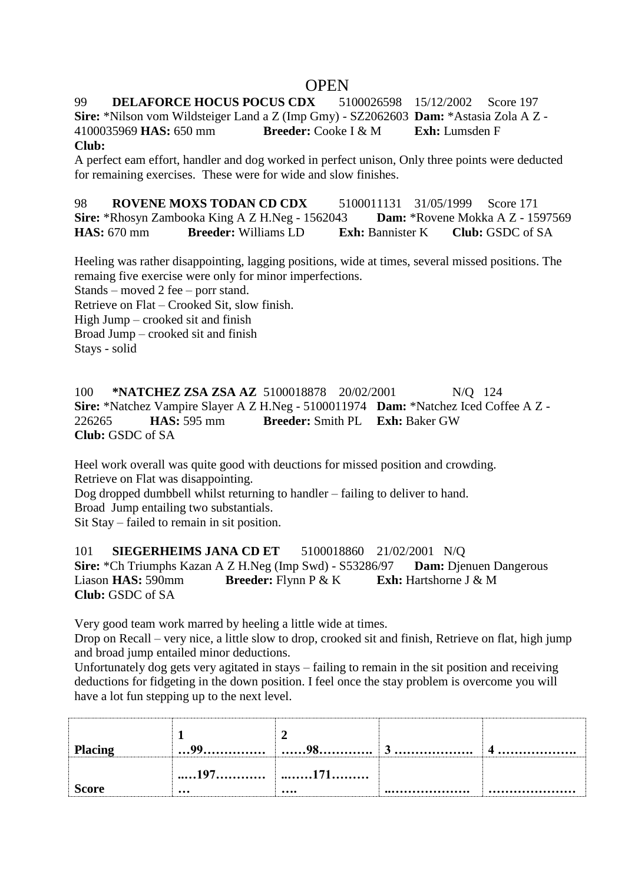# **OPEN**

99 **DELAFORCE HOCUS POCUS CDX** 5100026598 15/12/2002 Score 197 **Sire:** \*Nilson vom Wildsteiger Land a Z (Imp Gmy) - SZ2062603 **Dam:** \*Astasia Zola A Z - 4100035969 **HAS:** 650 mm **Breeder:** Cooke I & M **Exh:** Lumsden F

**Club:**

A perfect eam effort, handler and dog worked in perfect unison, Only three points were deducted for remaining exercises. These were for wide and slow finishes.

98 **ROVENE MOXS TODAN CD CDX** 5100011131 31/05/1999 Score 171<br>**Sire:** \*Rhosyn Zambooka King A Z H.Neg - 1562043 **Dam:** \*Rovene Mokka A Z - 1597569 **Sire:** \*Rhosyn Zambooka King A Z H.Neg - 1562043 **HAS:** 670 mm **Breeder:** Williams LD **Exh:** Bannister K **Club:** GSDC of SA

Heeling was rather disappointing, lagging positions, wide at times, several missed positions. The remaing five exercise were only for minor imperfections.

Stands – moved 2 fee – porr stand.

Retrieve on Flat – Crooked Sit, slow finish.

High Jump – crooked sit and finish

Broad Jump – crooked sit and finish

Stays - solid

100 **\*NATCHEZ ZSA ZSA AZ** 5100018878 20/02/2001 N/Q 124 **Sire:** \*Natchez Vampire Slayer A Z H.Neg - 5100011974 **Dam:** \*Natchez Iced Coffee A Z - 226265 **HAS:** 595 mm **Breeder:** Smith PL **Exh:** Baker GW **Club:** GSDC of SA

Heel work overall was quite good with deuctions for missed position and crowding. Retrieve on Flat was disappointing.

Dog dropped dumbbell whilst returning to handler – failing to deliver to hand. Broad Jump entailing two substantials.

Sit Stay – failed to remain in sit position.

101 **SIEGERHEIMS JANA CD ET** 5100018860 21/02/2001 N/Q **Sire:** \*Ch Triumphs Kazan A Z H.Neg (Imp Swd) - S53286/97 **Dam:** Djenuen Dangerous Liason **HAS:** 590mm **Breeder:** Flynn P & K **Exh:** Hartshorne J & M **Club:** GSDC of SA

Very good team work marred by heeling a little wide at times.

Drop on Recall – very nice, a little slow to drop, crooked sit and finish, Retrieve on flat, high jump and broad jump entailed minor deductions.

Unfortunately dog gets very agitated in stays – failing to remain in the sit position and receiving deductions for fidgeting in the down position. I feel once the stay problem is overcome you will have a lot fun stepping up to the next level.

| <b>Placing</b> |                                                                       |      | 4 |
|----------------|-----------------------------------------------------------------------|------|---|
| <b>Score</b>   | $\dots 197 \dots \dots \dots \dots \dots 171 \dots \dots$<br>$\cdots$ | <br> |   |